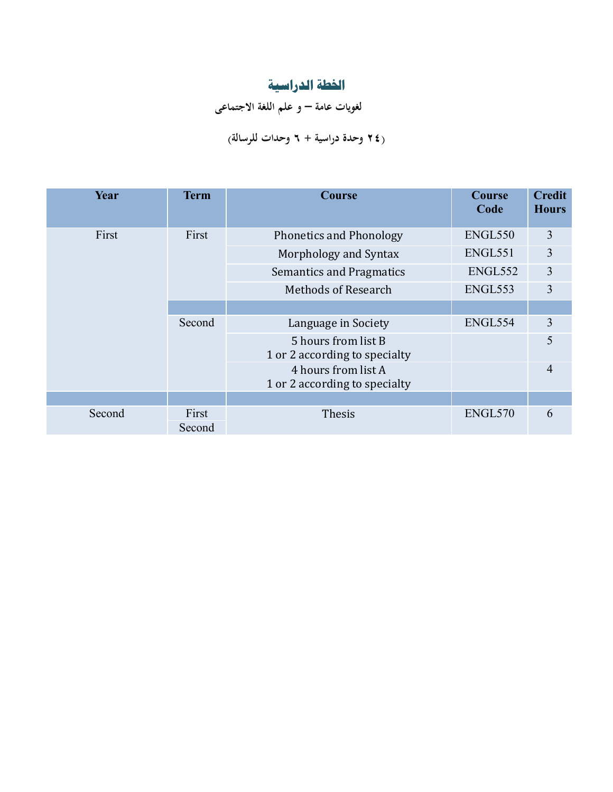# **اخلطة الدراسية**

**لغويات عامة – و علم اللغة االجتماعى**

# **)24 وحدة دراسية + 6 وحدات للرسالة(**

| Year   | <b>Term</b>     | <b>Course</b>                                        | <b>Course</b><br>Code | <b>Credit</b><br><b>Hours</b> |
|--------|-----------------|------------------------------------------------------|-----------------------|-------------------------------|
| First  | First           | <b>Phonetics and Phonology</b>                       | ENGL550               | 3                             |
|        |                 | Morphology and Syntax                                | ENGL551               | $\overline{3}$                |
|        |                 | <b>Semantics and Pragmatics</b>                      | ENGL552               | 3                             |
|        |                 | <b>Methods of Research</b>                           | ENGL553               | 3                             |
|        |                 |                                                      |                       |                               |
|        | Second          | Language in Society                                  | ENGL554               | 3                             |
|        |                 | 5 hours from list B<br>1 or 2 according to specialty |                       | 5                             |
|        |                 | 4 hours from list A<br>1 or 2 according to specialty |                       | $\overline{4}$                |
|        |                 |                                                      |                       |                               |
| Second | First<br>Second | <b>Thesis</b>                                        | ENGL570               | 6                             |